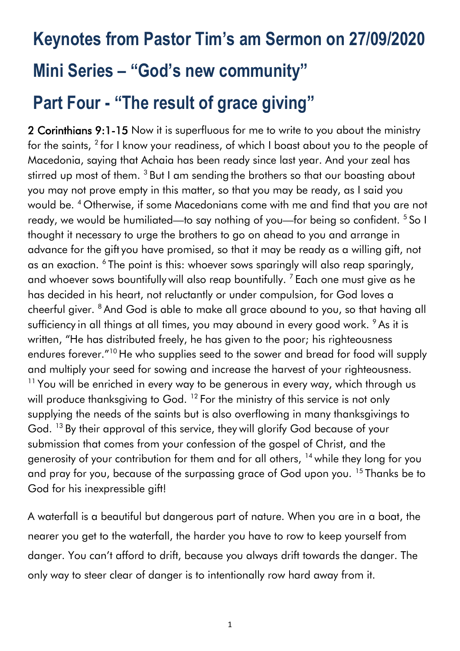# **Keynotes from Pastor Tim's am Sermon on 27/09/2020 Mini Series – "God's new community" Part Four - "The result of grace giving"**

2 Corinthians 9:1-15 Now it is superfluous for me to write to you about the ministry for the saints,  $^{2}$  for I know your readiness, of which I boast about you to the people of Macedonia, saying that Achaia has been ready since last year. And your zeal has stirred up most of them. <sup>3</sup> But I am sending the brothers so that our boasting about you may not prove empty in this matter, so that you may be ready, as I said you would be. <sup>4</sup> Otherwise, if some Macedonians come with me and find that you are not ready, we would be humiliated—to say nothing of you—for being so confident. <sup>5</sup> So I thought it necessary to urge the brothers to go on ahead to you and arrange in advance for the gift you have promised, so that it may be ready as a willing gift, not as an exaction. <sup>6</sup> The point is this: whoever sows sparingly will also reap sparingly, and whoever sows bountifully will also reap bountifully.<sup>7</sup> Each one must give as he has decided in his heart, not reluctantly or under compulsion, for God loves a cheerful giver. <sup>8</sup> And God is able to make all grace abound to you, so that having all sufficiency in all things at all times, you may abound in every good work. <sup>9</sup> As it is written, "He has distributed freely, he has given to the poor; his righteousness endures forever."<sup>10</sup> He who supplies seed to the sower and bread for food will supply and multiply your seed for sowing and increase the harvest of your righteousness.  $11$  You will be enriched in every way to be generous in every way, which through us will produce thanksgiving to God. <sup>12</sup> For the ministry of this service is not only supplying the needs of the saints but is also overflowing in many thanksgivings to God. <sup>13</sup> By their approval of this service, they will glorify God because of your submission that comes from your confession of the gospel of Christ, and the generosity of your contribution for them and for all others, <sup>14</sup> while they long for you and pray for you, because of the surpassing grace of God upon you.<sup>15</sup> Thanks be to God for his inexpressible gift!

A waterfall is a beautiful but dangerous part of nature. When you are in a boat, the nearer you get to the waterfall, the harder you have to row to keep yourself from danger. You can't afford to drift, because you always drift towards the danger. The only way to steer clear of danger is to intentionally row hard away from it.

1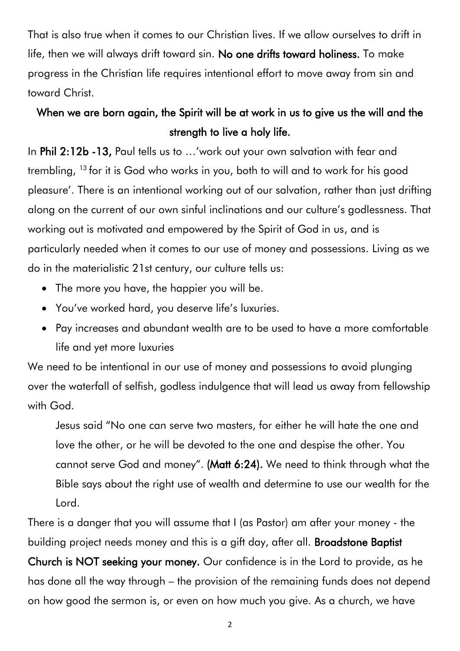That is also true when it comes to our Christian lives. If we allow ourselves to drift in life, then we will always drift toward sin. No one drifts toward holiness. To make progress in the Christian life requires intentional effort to move away from sin and toward Christ.

#### When we are born again, the Spirit will be at work in us to give us the will and the strength to live a holy life.

In Phil 2:12b -13, Paul tells us to …'work out your own salvation with fear and trembling, <sup>13</sup> for it is God who works in you, both to will and to work for his good pleasure'. There is an intentional working out of our salvation, rather than just drifting along on the current of our own sinful inclinations and our culture's godlessness. That working out is motivated and empowered by the Spirit of God in us, and is particularly needed when it comes to our use of money and possessions. Living as we do in the materialistic 21st century, our culture tells us:

- The more you have, the happier you will be.
- You've worked hard, you deserve life's luxuries.
- Pay increases and abundant wealth are to be used to have a more comfortable life and yet more luxuries

We need to be intentional in our use of money and possessions to avoid plunging over the waterfall of selfish, godless indulgence that will lead us away from fellowship with God.

Jesus said "No one can serve two masters, for either he will hate the one and love the other, or he will be devoted to the one and despise the other. You cannot serve God and money". (Matt 6:24). We need to think through what the Bible says about the right use of wealth and determine to use our wealth for the Lord.

There is a danger that you will assume that I (as Pastor) am after your money - the building project needs money and this is a gift day, after all. Broadstone Baptist

Church is NOT seeking your money. Our confidence is in the Lord to provide, as he has done all the way through – the provision of the remaining funds does not depend on how good the sermon is, or even on how much you give. As a church, we have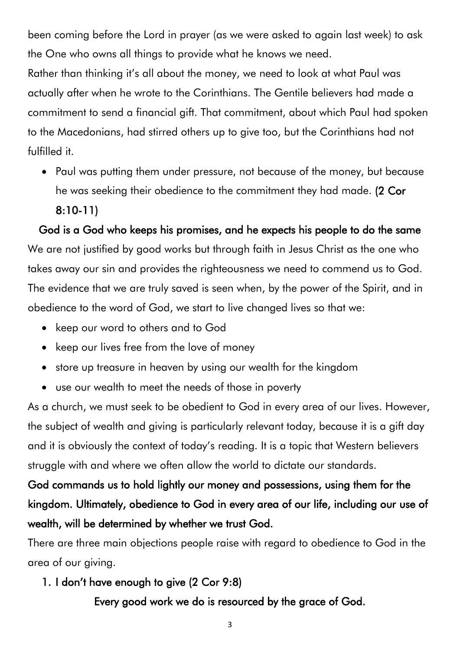been coming before the Lord in prayer (as we were asked to again last week) to ask the One who owns all things to provide what he knows we need.

Rather than thinking it's all about the money, we need to look at what Paul was actually after when he wrote to the Corinthians. The Gentile believers had made a commitment to send a financial gift. That commitment, about which Paul had spoken to the Macedonians, had stirred others up to give too, but the Corinthians had not fulfilled it.

• Paul was putting them under pressure, not because of the money, but because he was seeking their obedience to the commitment they had made. (2 Cor

8:10-11)

God is a God who keeps his promises, and he expects his people to do the same We are not justified by good works but through faith in Jesus Christ as the one who takes away our sin and provides the righteousness we need to commend us to God. The evidence that we are truly saved is seen when, by the power of the Spirit, and in obedience to the word of God, we start to live changed lives so that we:

- keep our word to others and to God
- keep our lives free from the love of money
- store up treasure in heaven by using our wealth for the kingdom
- use our wealth to meet the needs of those in poverty

As a church, we must seek to be obedient to God in every area of our lives. However, the subject of wealth and giving is particularly relevant today, because it is a gift day and it is obviously the context of today's reading. It is a topic that Western believers struggle with and where we often allow the world to dictate our standards.

# God commands us to hold lightly our money and possessions, using them for the kingdom. Ultimately, obedience to God in every area of our life, including our use of wealth, will be determined by whether we trust God.

There are three main objections people raise with regard to obedience to God in the area of our giving.

#### 1. I don't have enough to give (2 Cor 9:8)

Every good work we do is resourced by the grace of God.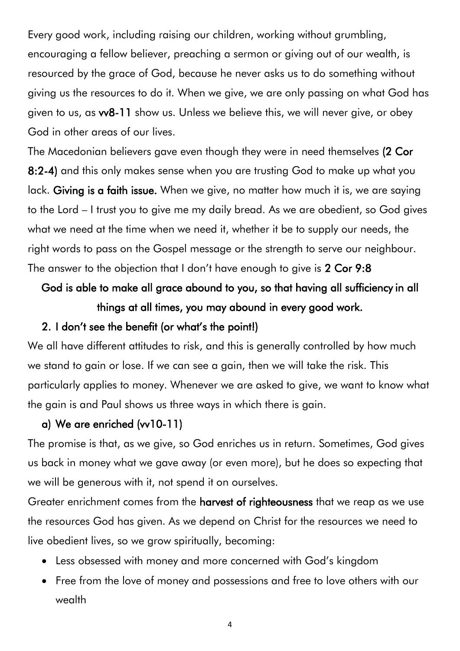Every good work, including raising our children, working without grumbling, encouraging a fellow believer, preaching a sermon or giving out of our wealth, is resourced by the grace of God, because he never asks us to do something without giving us the resources to do it. When we give, we are only passing on what God has given to us, as vv8-11 show us. Unless we believe this, we will never give, or obey God in other areas of our lives.

The Macedonian believers gave even though they were in need themselves (2 Cor 8:2-4) and this only makes sense when you are trusting God to make up what you lack. Giving is a faith issue. When we give, no matter how much it is, we are saying to the Lord – I trust you to give me my daily bread. As we are obedient, so God gives what we need at the time when we need it, whether it be to supply our needs, the right words to pass on the Gospel message or the strength to serve our neighbour. The answer to the objection that I don't have enough to give is 2 Cor 9:8

# God is able to make all grace abound to you, so that having all sufficiency in all things at all times, you may abound in every good work.

#### 2. I don't see the benefit (or what's the point!)

We all have different attitudes to risk, and this is generally controlled by how much we stand to gain or lose. If we can see a gain, then we will take the risk. This particularly applies to money. Whenever we are asked to give, we want to know what the gain is and Paul shows us three ways in which there is gain.

#### a) We are enriched (vv10-11)

The promise is that, as we give, so God enriches us in return. Sometimes, God gives us back in money what we gave away (or even more), but he does so expecting that we will be generous with it, not spend it on ourselves.

Greater enrichment comes from the harvest of righteousness that we reap as we use the resources God has given. As we depend on Christ for the resources we need to live obedient lives, so we grow spiritually, becoming:

- Less obsessed with money and more concerned with God's kingdom
- Free from the love of money and possessions and free to love others with our wealth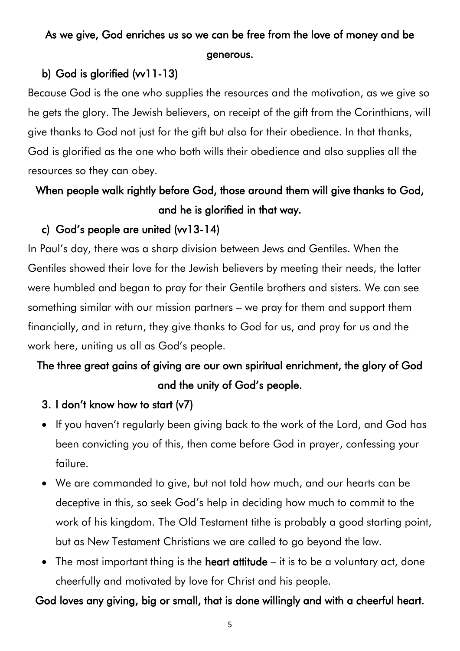## As we give, God enriches us so we can be free from the love of money and be generous.

#### b) God is glorified (vv11-13)

Because God is the one who supplies the resources and the motivation, as we give so he gets the glory. The Jewish believers, on receipt of the gift from the Corinthians, will give thanks to God not just for the gift but also for their obedience. In that thanks, God is glorified as the one who both wills their obedience and also supplies all the resources so they can obey.

## When people walk rightly before God, those around them will give thanks to God, and he is glorified in that way.

#### c) God's people are united  $(vv13-14)$

In Paul's day, there was a sharp division between Jews and Gentiles. When the Gentiles showed their love for the Jewish believers by meeting their needs, the latter were humbled and began to pray for their Gentile brothers and sisters. We can see something similar with our mission partners – we pray for them and support them financially, and in return, they give thanks to God for us, and pray for us and the work here, uniting us all as God's people.

## The three great gains of giving are our own spiritual enrichment, the glory of God and the unity of God's people.

- 3. I don't know how to start (v7)
- If you haven't regularly been giving back to the work of the Lord, and God has been convicting you of this, then come before God in prayer, confessing your failure.
- We are commanded to give, but not told how much, and our hearts can be deceptive in this, so seek God's help in deciding how much to commit to the work of his kingdom. The Old Testament tithe is probably a good starting point, but as New Testament Christians we are called to go beyond the law.
- The most important thing is the heart attitude  $-$  it is to be a voluntary act, done cheerfully and motivated by love for Christ and his people.

#### God loves any giving, big or small, that is done willingly and with a cheerful heart.